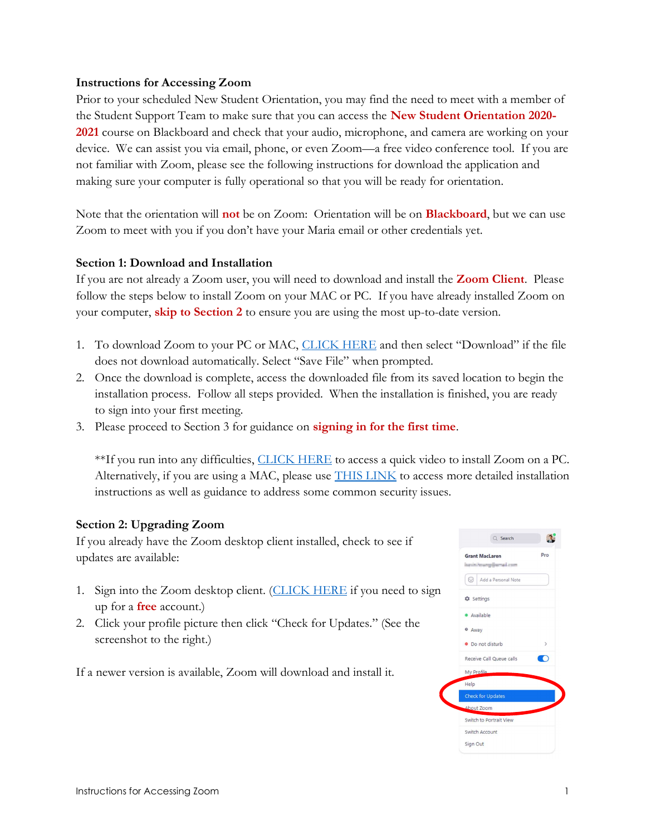#### Instructions for Accessing Zoom

Prior to your scheduled New Student Orientation, you may find the need to meet with a member of the Student Support Team to make sure that you can access the New Student Orientation 2020-2021 course on Blackboard and check that your audio, microphone, and camera are working on your device. We can assist you via email, phone, or even Zoom—a free video conference tool. If you are not familiar with Zoom, please see the following instructions for download the application and making sure your computer is fully operational so that you will be ready for orientation.

Note that the orientation will **not** be on Zoom: Orientation will be on **Blackboard**, but we can use Zoom to meet with you if you don't have your Maria email or other credentials yet.

#### Section 1: Download and Installation

If you are not already a Zoom user, you will need to download and install the **Zoom Client**. Please follow the steps below to install Zoom on your MAC or PC. If you have already installed Zoom on your computer, skip to Section 2 to ensure you are using the most up-to-date version.

- 1. To download Zoom to your PC or MAC, CLICK HERE and then select "Download" if the file does not download automatically. Select "Save File" when prompted.
- 2. Once the download is complete, access the downloaded file from its saved location to begin the installation process. Follow all steps provided. When the installation is finished, you are ready to sign into your first meeting.
- 3. Please proceed to Section 3 for guidance on signing in for the first time.

\*\*If you run into any difficulties, CLICK HERE to access a quick video to install Zoom on a PC. Alternatively, if you are using a MAC, please use **THIS LINK** to access more detailed installation instructions as well as guidance to address some common security issues.

## Section 2: Upgrading Zoom

If you already have the Zoom desktop client installed, check to see if updates are available:

- 1. Sign into the Zoom desktop client. (CLICK HERE if you need to sign up for a **free** account.)
- 2. Click your profile picture then click "Check for Updates." (See the screenshot to the right.)

If a newer version is available, Zoom will download and install it.

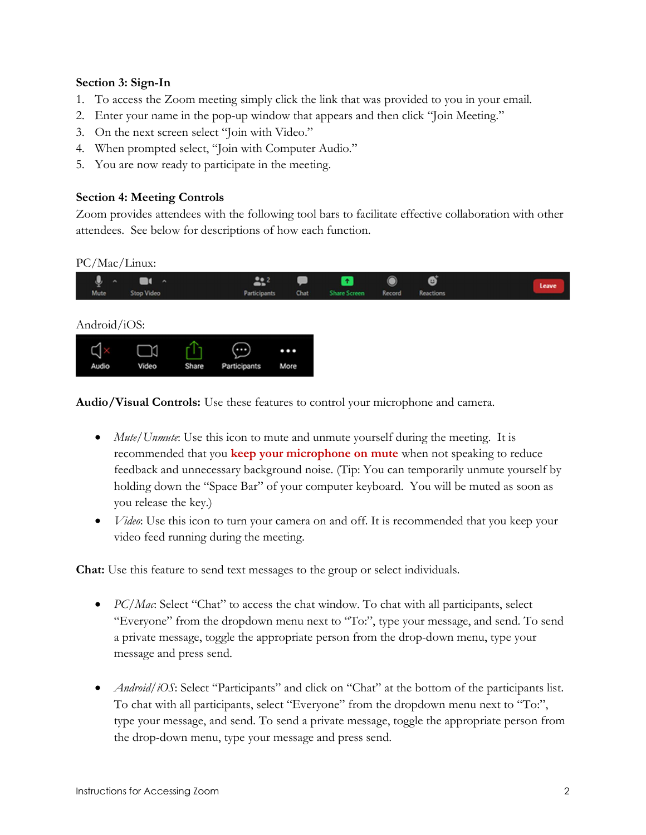## Section 3: Sign-In

- 1. To access the Zoom meeting simply click the link that was provided to you in your email.
- 2. Enter your name in the pop-up window that appears and then click "Join Meeting."
- 3. On the next screen select "Join with Video."
- 4. When prompted select, "Join with Computer Audio."
- 5. You are now ready to participate in the meeting.

## Section 4: Meeting Controls

Zoom provides attendees with the following tool bars to facilitate effective collaboration with other attendees. See below for descriptions of how each function.

PC/Mac/Linux:



Audio/Visual Controls: Use these features to control your microphone and camera.

- $Mute/Unmute$ . Use this icon to mute and unmute yourself during the meeting. It is recommended that you keep your microphone on mute when not speaking to reduce feedback and unnecessary background noise. (Tip: You can temporarily unmute yourself by holding down the "Space Bar" of your computer keyboard. You will be muted as soon as you release the key.)
- *Video*: Use this icon to turn your camera on and off. It is recommended that you keep your video feed running during the meeting.

Chat: Use this feature to send text messages to the group or select individuals.

- $\bullet$  PC/Mac: Select "Chat" to access the chat window. To chat with all participants, select "Everyone" from the dropdown menu next to "To:", type your message, and send. To send a private message, toggle the appropriate person from the drop-down menu, type your message and press send.
- *Android/iOS*: Select "Participants" and click on "Chat" at the bottom of the participants list. To chat with all participants, select "Everyone" from the dropdown menu next to "To:", type your message, and send. To send a private message, toggle the appropriate person from the drop-down menu, type your message and press send.